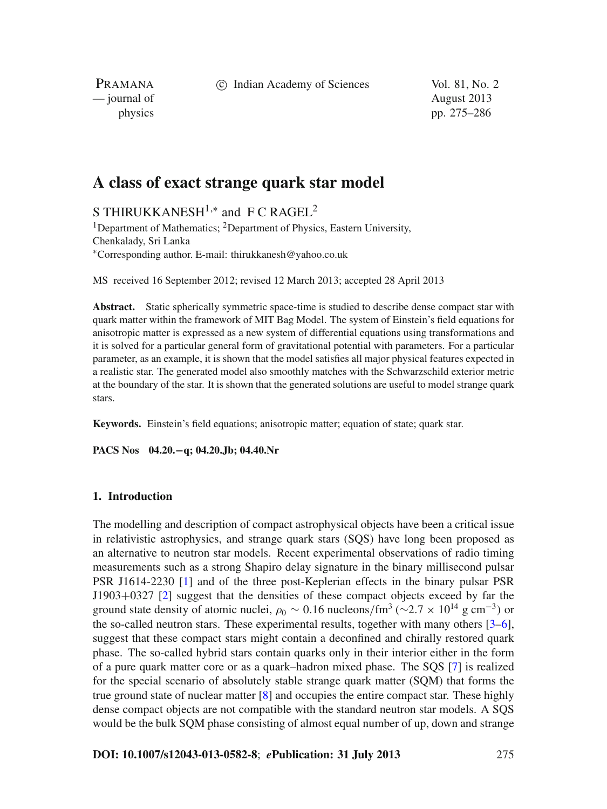c Indian Academy of Sciences Vol. 81, No. 2

PRAMANA — journal of August 2013

physics pp. 275–286

# **A class of exact strange quark star model**

S THIRUKKANESH<sup>1,\*</sup> and F C RAGEL<sup>2</sup>

<sup>1</sup>Department of Mathematics; <sup>2</sup>Department of Physics, Eastern University, Chenkalady, Sri Lanka <sup>∗</sup>Corresponding author. E-mail: thirukkanesh@yahoo.co.uk

MS received 16 September 2012; revised 12 March 2013; accepted 28 April 2013

**Abstract.** Static spherically symmetric space-time is studied to describe dense compact star with quark matter within the framework of MIT Bag Model. The system of Einstein's field equations for anisotropic matter is expressed as a new system of differential equations using transformations and it is solved for a particular general form of gravitational potential with parameters. For a particular parameter, as an example, it is shown that the model satisfies all major physical features expected in a realistic star. The generated model also smoothly matches with the Schwarzschild exterior metric at the boundary of the star. It is shown that the generated solutions are useful to model strange quark stars.

**Keywords.** Einstein's field equations; anisotropic matter; equation of state; quark star.

**PACS Nos 04.20.−q; 04.20.Jb; 04.40.Nr**

## **1. Introduction**

The modelling and description of compact astrophysical objects have been a critical issue in relativistic astrophysics, and strange quark stars (SQS) have long been proposed as an alternative to neutron star models. Recent experimental observations of radio timing measurements such as a strong Shapiro delay signature in the binary millisecond pulsar PSR J1614-2230 [\[1\]](#page-10-0) and of the three post-Keplerian effects in the binary pulsar PSR J1903+0327 [\[2](#page-10-1)] suggest that the densities of these compact objects exceed by far the ground state density of atomic nuclei,  $\rho_0 \sim 0.16$  nucleons/fm<sup>3</sup> ( $\sim$ 2.7 × 10<sup>14</sup> g cm<sup>-3</sup>) or the so-called neutron stars. These experimental results, together with many others [\[3](#page-11-0)[–6](#page-11-1)], suggest that these compact stars might contain a deconfined and chirally restored quark phase. The so-called hybrid stars contain quarks only in their interior either in the form of a pure quark matter core or as a quark–hadron mixed phase. The SQS [\[7\]](#page-11-2) is realized for the special scenario of absolutely stable strange quark matter (SQM) that forms the true ground state of nuclear matter [\[8\]](#page-11-3) and occupies the entire compact star. These highly dense compact objects are not compatible with the standard neutron star models. A SQS would be the bulk SQM phase consisting of almost equal number of up, down and strange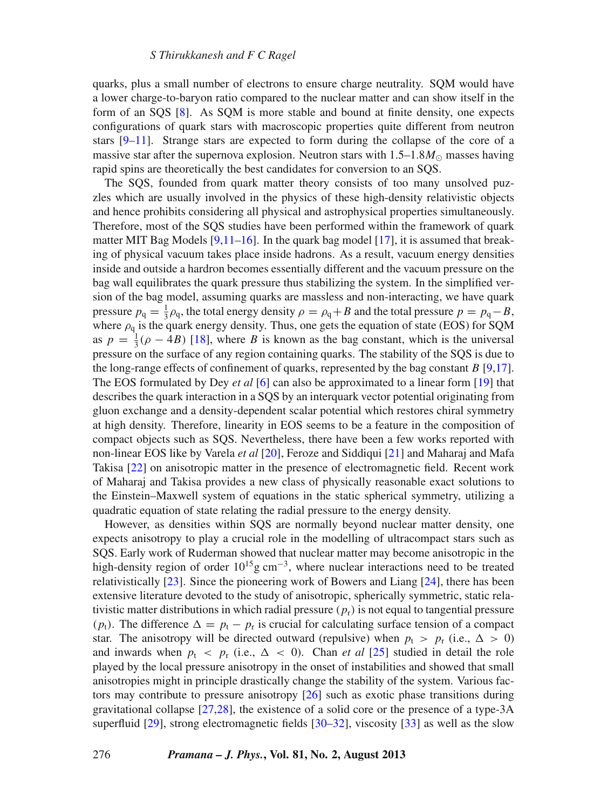quarks, plus a small number of electrons to ensure charge neutrality. SQM would have a lower charge-to-baryon ratio compared to the nuclear matter and can show itself in the form of an SQS [\[8\]](#page-11-3). As SQM is more stable and bound at finite density, one expects configurations of quark stars with macroscopic properties quite different from neutron stars  $[9-11]$  $[9-11]$ . Strange stars are expected to form during the collapse of the core of a massive star after the supernova explosion. Neutron stars with  $1.5-1.8M_{\odot}$  masses having rapid spins are theoretically the best candidates for conversion to an SQS.

The SQS, founded from quark matter theory consists of too many unsolved puzzles which are usually involved in the physics of these high-density relativistic objects and hence prohibits considering all physical and astrophysical properties simultaneously. Therefore, most of the SQS studies have been performed within the framework of quark matter MIT Bag Models  $[9,11–16]$  $[9,11–16]$  $[9,11–16]$  $[9,11–16]$ . In the quark bag model  $[17]$  $[17]$ , it is assumed that breaking of physical vacuum takes place inside hadrons. As a result, vacuum energy densities inside and outside a hardron becomes essentially different and the vacuum pressure on the bag wall equilibrates the quark pressure thus stabilizing the system. In the simplified version of the bag model, assuming quarks are massless and non-interacting, we have quark pressure  $p_q = \frac{1}{3}\rho_q$ , the total energy density  $\rho = \rho_q + B$  and the total pressure  $p = p_q - B$ , where  $\rho_q$  is the quark energy density. Thus, one gets the equation of state (EOS) for SQM as  $p = \frac{1}{3}(\rho - 4B)$  [\[18](#page-11-8)], where *B* is known as the bag constant, which is the universal pressure on the surface of any region containing quarks. The stability of the SQS is due to the long-range effects of confinement of quarks, represented by the bag constant *B* [\[9](#page-11-4)[,17](#page-11-7)]. The EOS formulated by Dey *et al* [\[6\]](#page-11-1) can also be approximated to a linear form [\[19](#page-11-9)] that describes the quark interaction in a SQS by an interquark vector potential originating from gluon exchange and a density-dependent scalar potential which restores chiral symmetry at high density. Therefore, linearity in EOS seems to be a feature in the composition of compact objects such as SQS. Nevertheless, there have been a few works reported with non-linear EOS like by Varela *et al* [\[20\]](#page-11-10), Feroze and Siddiqui [\[21\]](#page-11-11) and Maharaj and Mafa Takisa [\[22\]](#page-11-12) on anisotropic matter in the presence of electromagnetic field. Recent work of Maharaj and Takisa provides a new class of physically reasonable exact solutions to the Einstein–Maxwell system of equations in the static spherical symmetry, utilizing a quadratic equation of state relating the radial pressure to the energy density.

However, as densities within SQS are normally beyond nuclear matter density, one expects anisotropy to play a crucial role in the modelling of ultracompact stars such as SQS. Early work of Ruderman showed that nuclear matter may become anisotropic in the high-density region of order 1015g cm<sup>−</sup>3, where nuclear interactions need to be treated relativistically [\[23\]](#page-11-13). Since the pioneering work of Bowers and Liang [\[24\]](#page-11-14), there has been extensive literature devoted to the study of anisotropic, spherically symmetric, static relativistic matter distributions in which radial pressure  $(p<sub>r</sub>)$  is not equal to tangential pressure ( $p_t$ ). The difference  $\Delta = p_t - p_r$  is crucial for calculating surface tension of a compact star. The anisotropy will be directed outward (repulsive) when  $p_t > p_r$  (i.e.,  $\Delta > 0$ ) and inwards when  $p_t < p_t$  (i.e.,  $\Delta < 0$ ). Chan *et al* [\[25](#page-11-15)] studied in detail the role played by the local pressure anisotropy in the onset of instabilities and showed that small anisotropies might in principle drastically change the stability of the system. Various factors may contribute to pressure anisotropy [\[26](#page-11-16)] such as exotic phase transitions during gravitational collapse [\[27](#page-11-17)[,28](#page-11-18)], the existence of a solid core or the presence of a type-3A superfluid [\[29\]](#page-11-19), strong electromagnetic fields [\[30](#page-11-20)[–32\]](#page-11-21), viscosity [\[33](#page-11-22)] as well as the slow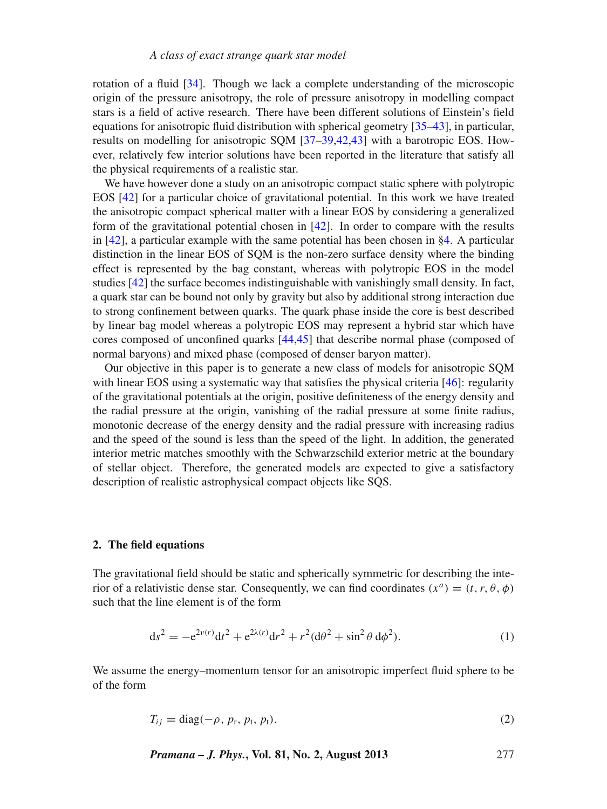rotation of a fluid [\[34](#page-11-23)]. Though we lack a complete understanding of the microscopic origin of the pressure anisotropy, the role of pressure anisotropy in modelling compact stars is a field of active research. There have been different solutions of Einstein's field equations for anisotropic fluid distribution with spherical geometry [\[35](#page-11-24)[–43\]](#page-11-25), in particular, results on modelling for anisotropic SQM [\[37](#page-11-26)[–39](#page-11-27)[,42](#page-11-28)[,43](#page-11-25)] with a barotropic EOS. However, relatively few interior solutions have been reported in the literature that satisfy all the physical requirements of a realistic star.

We have however done a study on an anisotropic compact static sphere with polytropic EOS [\[42\]](#page-11-28) for a particular choice of gravitational potential. In this work we have treated the anisotropic compact spherical matter with a linear EOS by considering a generalized form of the gravitational potential chosen in  $[42]$  $[42]$ . In order to compare with the results in [\[42\]](#page-11-28), a particular example with the same potential has been chosen in [§4.](#page-5-0) A particular distinction in the linear EOS of SQM is the non-zero surface density where the binding effect is represented by the bag constant, whereas with polytropic EOS in the model studies [\[42](#page-11-28)] the surface becomes indistinguishable with vanishingly small density. In fact, a quark star can be bound not only by gravity but also by additional strong interaction due to strong confinement between quarks. The quark phase inside the core is best described by linear bag model whereas a polytropic EOS may represent a hybrid star which have cores composed of unconfined quarks [\[44](#page-11-29)[,45\]](#page-11-30) that describe normal phase (composed of normal baryons) and mixed phase (composed of denser baryon matter).

Our objective in this paper is to generate a new class of models for anisotropic SQM with linear EOS using a systematic way that satisfies the physical criteria [\[46\]](#page-11-31): regularity of the gravitational potentials at the origin, positive definiteness of the energy density and the radial pressure at the origin, vanishing of the radial pressure at some finite radius, monotonic decrease of the energy density and the radial pressure with increasing radius and the speed of the sound is less than the speed of the light. In addition, the generated interior metric matches smoothly with the Schwarzschild exterior metric at the boundary of stellar object. Therefore, the generated models are expected to give a satisfactory description of realistic astrophysical compact objects like SQS.

#### **2. The field equations**

The gravitational field should be static and spherically symmetric for describing the interior of a relativistic dense star. Consequently, we can find coordinates  $(x^a) = (t, r, \theta, \phi)$ such that the line element is of the form

<span id="page-2-0"></span>
$$
ds^{2} = -e^{2\nu(r)}dt^{2} + e^{2\lambda(r)}dr^{2} + r^{2}(d\theta^{2} + \sin^{2}\theta \, d\phi^{2}).
$$
\n(1)

We assume the energy–momentum tensor for an anisotropic imperfect fluid sphere to be of the form

<span id="page-2-1"></span>
$$
T_{ij} = \text{diag}(-\rho, p_{\text{r}}, p_{\text{t}}, p_{\text{t}}). \tag{2}
$$

*Pramana – J. Phys.***, Vol. 81, No. 2, August 2013** 277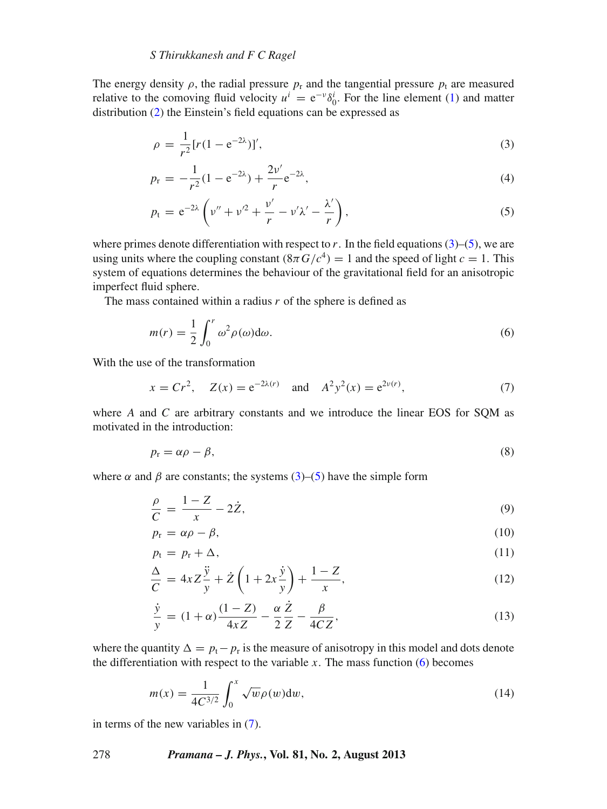# *S Thirukkanesh and F C Ragel*

The energy density  $\rho$ , the radial pressure  $p_r$  and the tangential pressure  $p_t$  are measured relative to the comoving fluid velocity  $u^i = e^{-v} \delta_0^i$ . For the line element [\(1\)](#page-2-0) and matter distribution [\(2\)](#page-2-1) the Einstein's field equations can be expressed as

<span id="page-3-0"></span>
$$
\rho = \frac{1}{r^2} [r(1 - e^{-2\lambda})]', \tag{3}
$$

$$
p_{\rm r} = -\frac{1}{r^2} (1 - e^{-2\lambda}) + \frac{2\nu'}{r} e^{-2\lambda},\tag{4}
$$

$$
p_{\rm t} = e^{-2\lambda} \left( \nu'' + \nu'^2 + \frac{\nu'}{r} - \nu'\lambda' - \frac{\lambda'}{r} \right),\tag{5}
$$

where primes denote differentiation with respect to  $r$ . In the field equations [\(3\)](#page-3-0)–[\(5\)](#page-3-0), we are using units where the coupling constant  $(8\pi G/c^4) = 1$  and the speed of light  $c = 1$ . This system of equations determines the behaviour of the gravitational field for an anisotropic imperfect fluid sphere.

The mass contained within a radius *r* of the sphere is defined as

<span id="page-3-1"></span>
$$
m(r) = \frac{1}{2} \int_0^r \omega^2 \rho(\omega) d\omega.
$$
 (6)

With the use of the transformation

<span id="page-3-2"></span>
$$
x = Cr^2
$$
,  $Z(x) = e^{-2\lambda(r)}$  and  $A^2y^2(x) = e^{2\nu(r)}$ , (7)

where *A* and *C* are arbitrary constants and we introduce the linear EOS for SQM as motivated in the introduction:

$$
p_{\rm r} = \alpha \rho - \beta,\tag{8}
$$

where  $\alpha$  and  $\beta$  are constants; the systems [\(3\)](#page-3-0)–[\(5\)](#page-3-0) have the simple form

<span id="page-3-3"></span>
$$
\frac{\rho}{C} = \frac{1 - Z}{x} - 2\dot{Z},\tag{9}
$$

$$
p_{\rm r} = \alpha \rho - \beta, \tag{10}
$$

$$
p_t = p_r + \Delta,\tag{11}
$$

$$
\frac{\Delta}{C} = 4xZ\frac{\ddot{y}}{y} + \dot{Z}\left(1 + 2x\frac{\dot{y}}{y}\right) + \frac{1 - Z}{x},\tag{12}
$$

<span id="page-3-4"></span>
$$
\frac{\dot{y}}{y} = (1+\alpha)\frac{(1-Z)}{4xZ} - \frac{\alpha}{2}\frac{\dot{Z}}{Z} - \frac{\beta}{4CZ},\tag{13}
$$

where the quantity  $\Delta = p_t - p_r$  is the measure of anisotropy in this model and dots denote the differentiation with respect to the variable  $x$ . The mass function  $(6)$  becomes

$$
m(x) = \frac{1}{4C^{3/2}} \int_0^x \sqrt{w} \rho(w) \, dw,
$$
\n(14)

in terms of the new variables in [\(7\)](#page-3-2).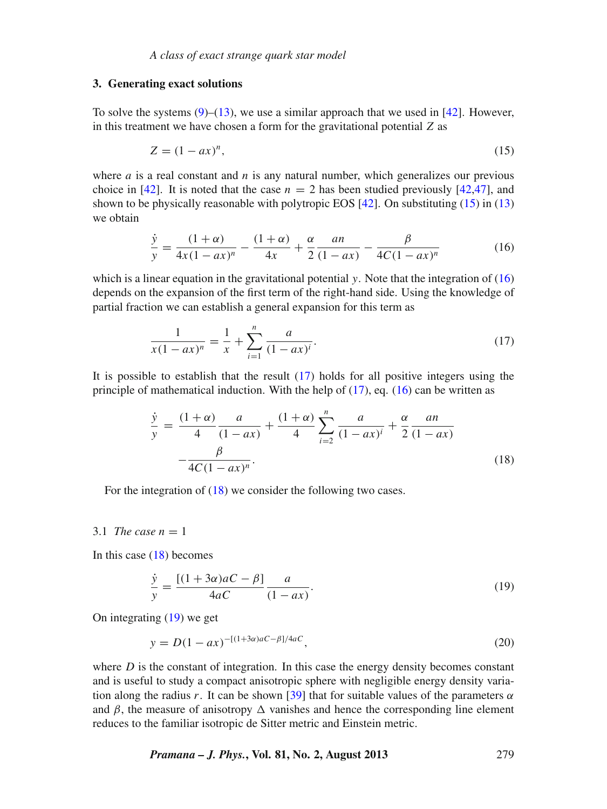#### **3. Generating exact solutions**

To solve the systems  $(9)$ – $(13)$ , we use a similar approach that we used in [\[42\]](#page-11-28). However, in this treatment we have chosen a form for the gravitational potential *Z* as

<span id="page-4-0"></span>
$$
Z = (1 - ax)^n,\tag{15}
$$

where  $a$  is a real constant and  $n$  is any natural number, which generalizes our previous choice in [\[42](#page-11-28)]. It is noted that the case  $n = 2$  has been studied previously [42[,47\]](#page-11-32), and shown to be physically reasonable with polytropic EOS [\[42](#page-11-28)]. On substituting [\(15\)](#page-4-0) in [\(13\)](#page-3-3) we obtain

<span id="page-4-1"></span>
$$
\frac{\dot{y}}{y} = \frac{(1+\alpha)}{4x(1-ax)^n} - \frac{(1+\alpha)}{4x} + \frac{\alpha}{2} \frac{an}{(1-ax)} - \frac{\beta}{4C(1-ax)^n}
$$
(16)

which is a linear equation in the gravitational potential *y*. Note that the integration of [\(16\)](#page-4-1) depends on the expansion of the first term of the right-hand side. Using the knowledge of partial fraction we can establish a general expansion for this term as

<span id="page-4-2"></span>
$$
\frac{1}{x(1-ax)^n} = \frac{1}{x} + \sum_{i=1}^n \frac{a}{(1-ax)^i}.
$$
 (17)

It is possible to establish that the result  $(17)$  holds for all positive integers using the principle of mathematical induction. With the help of  $(17)$ , eq.  $(16)$  can be written as

<span id="page-4-3"></span>
$$
\frac{\dot{y}}{y} = \frac{(1+\alpha)}{4} \frac{a}{(1-ax)} + \frac{(1+\alpha)}{4} \sum_{i=2}^{n} \frac{a}{(1-ax)^{i}} + \frac{\alpha}{2} \frac{an}{(1-ax)}
$$
\n
$$
-\frac{\beta}{4C(1-ax)^{n}}.
$$
\n(18)

For the integration of  $(18)$  we consider the following two cases.

#### 3.1 *The case n* = 1

In this case  $(18)$  becomes

<span id="page-4-4"></span>
$$
\frac{\dot{y}}{y} = \frac{[(1+3\alpha)aC - \beta]}{4aC} \frac{a}{(1-ax)}.
$$
\n(19)

On integrating [\(19\)](#page-4-4) we get

$$
y = D(1 - ax)^{-[(1+3\alpha)aC - \beta]/4aC},
$$
\n(20)

where  $D$  is the constant of integration. In this case the energy density becomes constant and is useful to study a compact anisotropic sphere with negligible energy density varia-tion along the radius r. It can be shown [\[39\]](#page-11-27) that for suitable values of the parameters  $\alpha$ and  $\beta$ , the measure of anisotropy  $\Delta$  vanishes and hence the corresponding line element reduces to the familiar isotropic de Sitter metric and Einstein metric.

*Pramana – J. Phys.***, Vol. 81, No. 2, August 2013** 279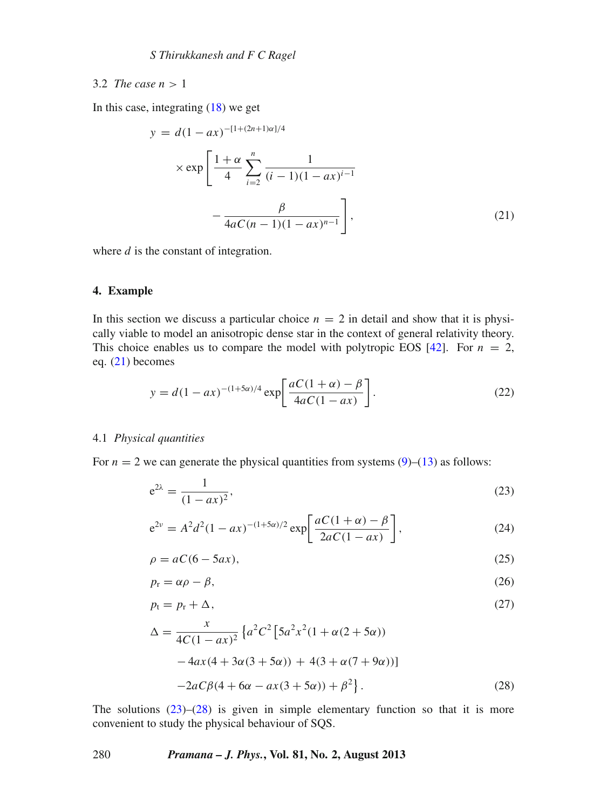# 3.2 *The case*  $n > 1$

In this case, integrating  $(18)$  we get

<span id="page-5-1"></span>
$$
y = d(1 - ax)^{-[1 + (2n+1)\alpha]/4}
$$
  
 
$$
\times \exp\left[\frac{1 + \alpha}{4} \sum_{i=2}^{n} \frac{1}{(i-1)(1 - ax)^{i-1}} - \frac{\beta}{4aC(n-1)(1 - ax)^{n-1}}\right],
$$
 (21)

where *d* is the constant of integration.

# <span id="page-5-0"></span>**4. Example**

In this section we discuss a particular choice  $n = 2$  in detail and show that it is physically viable to model an anisotropic dense star in the context of general relativity theory. This choice enables us to compare the model with polytropic EOS  $[42]$  $[42]$ . For  $n = 2$ , eq. [\(21\)](#page-5-1) becomes

$$
y = d(1 - ax)^{-(1+5\alpha)/4} \exp\left[\frac{aC(1+\alpha) - \beta}{4aC(1 - ax)}\right].
$$
 (22)

# <span id="page-5-4"></span>4.1 *Physical quantities*

For  $n = 2$  we can generate the physical quantities from systems  $(9)$ – $(13)$  as follows:

<span id="page-5-2"></span>
$$
e^{2\lambda} = \frac{1}{(1 - ax)^2},\tag{23}
$$

$$
e^{2\nu} = A^2 d^2 (1 - ax)^{-(1+5\alpha)/2} \exp\left[\frac{aC(1+\alpha) - \beta}{2aC(1 - ax)}\right],
$$
 (24)

$$
\rho = aC(6 - 5ax),\tag{25}
$$

$$
p_{\rm r} = \alpha \rho - \beta,\tag{26}
$$

$$
p_t = p_r + \Delta,\tag{27}
$$

<span id="page-5-3"></span>
$$
\Delta = \frac{x}{4C(1 - ax)^2} \left\{ a^2 C^2 \left[ 5a^2 x^2 (1 + \alpha (2 + 5\alpha)) - 4ax(4 + 3\alpha (3 + 5\alpha)) + 4(3 + \alpha (7 + 9\alpha)) \right] - 2aC\beta (4 + 6\alpha - ax(3 + 5\alpha)) + \beta^2 \right\}.
$$
\n(28)

The solutions  $(23)$ – $(28)$  is given in simple elementary function so that it is more convenient to study the physical behaviour of SQS.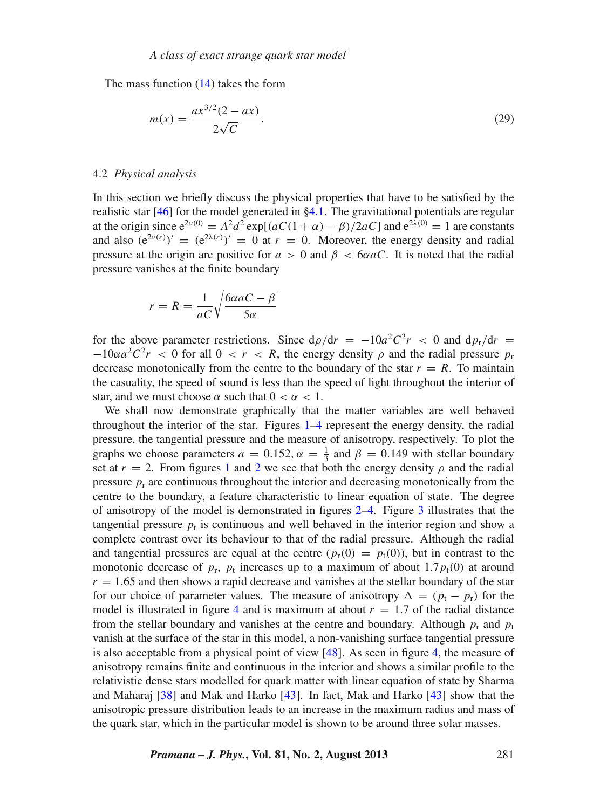The mass function [\(14\)](#page-3-4) takes the form

<span id="page-6-0"></span>
$$
m(x) = \frac{ax^{3/2}(2 - ax)}{2\sqrt{C}}.
$$
 (29)

#### 4.2 *Physical analysis*

In this section we briefly discuss the physical properties that have to be satisfied by the realistic star [\[46\]](#page-11-31) for the model generated in  $\S 4.1$ . The gravitational potentials are regular at the origin since  $e^{2\nu(0)} = A^2 d^2 \exp[(aC(1 + \alpha) - \beta)/2aC]$  and  $e^{2\lambda(0)} = 1$  are constants and also  $(e^{2\nu(r)})' = (e^{2\lambda(r)})' = 0$  at  $r = 0$ . Moreover, the energy density and radial pressure at the origin are positive for  $a > 0$  and  $\beta < 6\alpha aC$ . It is noted that the radial pressure vanishes at the finite boundary

$$
r = R = \frac{1}{aC} \sqrt{\frac{6\alpha aC - \beta}{5\alpha}}
$$

for the above parameter restrictions. Since  $d\rho/dr = -10a^2C^2r < 0$  and  $dp_r/dr =$  $-10\alpha a^2 C^2 r$  < 0 for all 0 < *r* < *R*, the energy density  $\rho$  and the radial pressure  $p_r$ decrease monotonically from the centre to the boundary of the star  $r = R$ . To maintain the casuality, the speed of sound is less than the speed of light throughout the interior of star, and we must choose  $\alpha$  such that  $0 < \alpha < 1$ .

We shall now demonstrate graphically that the matter variables are well behaved throughout the interior of the star. Figures  $1-4$  $1-4$  represent the energy density, the radial pressure, the tangential pressure and the measure of anisotropy, respectively. To plot the graphs we choose parameters  $a = 0.152$ ,  $\alpha = \frac{1}{3}$  and  $\beta = 0.149$  with stellar boundary set at  $r = 2$  $r = 2$ . From figures [1](#page-7-0) and 2 we see that both the energy density  $\rho$  and the radial pressure  $p_r$  are continuous throughout the interior and decreasing monotonically from the centre to the boundary, a feature characteristic to linear equation of state. The degree of anisotropy of the model is demonstrated in figures [2–](#page-7-1)[4.](#page-8-0) Figure [3](#page-8-1) illustrates that the tangential pressure  $p_t$  is continuous and well behaved in the interior region and show a complete contrast over its behaviour to that of the radial pressure. Although the radial and tangential pressures are equal at the centre  $(p_r(0) = p_t(0))$ , but in contrast to the monotonic decrease of  $p_r$ ,  $p_t$  increases up to a maximum of about 1.7 $p_t(0)$  at around  $r = 1.65$  and then shows a rapid decrease and vanishes at the stellar boundary of the star for our choice of parameter values. The measure of anisotropy  $\Delta = (p_t - p_r)$  for the model is illustrated in figure [4](#page-8-0) and is maximum at about  $r = 1.7$  of the radial distance from the stellar boundary and vanishes at the centre and boundary. Although  $p_r$  and  $p_t$ vanish at the surface of the star in this model, a non-vanishing surface tangential pressure is also acceptable from a physical point of view [\[48](#page-11-33)]. As seen in figure [4,](#page-8-0) the measure of anisotropy remains finite and continuous in the interior and shows a similar profile to the relativistic dense stars modelled for quark matter with linear equation of state by Sharma and Maharaj [\[38](#page-11-34)] and Mak and Harko [\[43\]](#page-11-25). In fact, Mak and Harko [\[43\]](#page-11-25) show that the anisotropic pressure distribution leads to an increase in the maximum radius and mass of the quark star, which in the particular model is shown to be around three solar masses.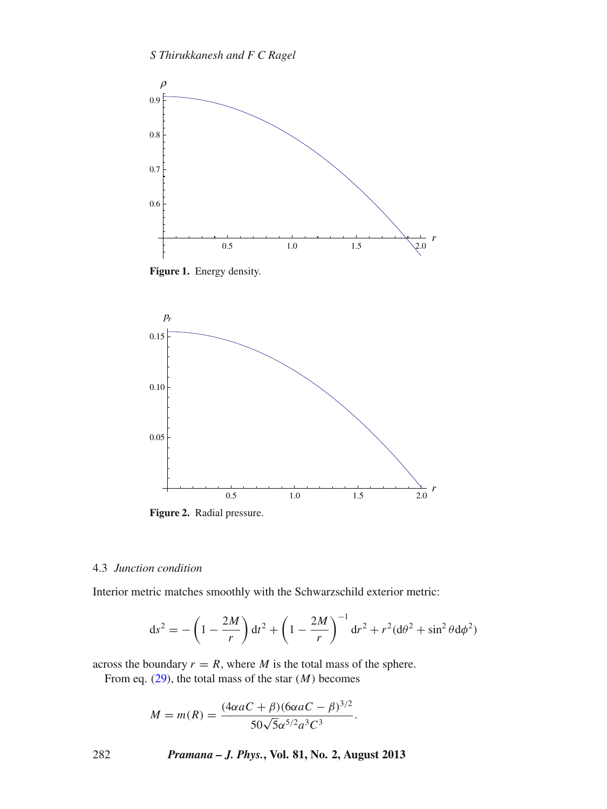<span id="page-7-0"></span>

**Figure 1.** Energy density.

<span id="page-7-1"></span>

# 4.3 *Junction condition*

Interior metric matches smoothly with the Schwarzschild exterior metric:

$$
ds^{2} = -\left(1 - \frac{2M}{r}\right)dt^{2} + \left(1 - \frac{2M}{r}\right)^{-1}dr^{2} + r^{2}(d\theta^{2} + \sin^{2}\theta d\phi^{2})
$$

across the boundary  $r = R$ , where *M* is the total mass of the sphere.

From eq. [\(29\)](#page-6-0), the total mass of the star (*M*) becomes

$$
M = m(R) = \frac{(4\alpha aC + \beta)(6\alpha aC - \beta)^{3/2}}{50\sqrt{5}\alpha^{5/2}a^3C^3}.
$$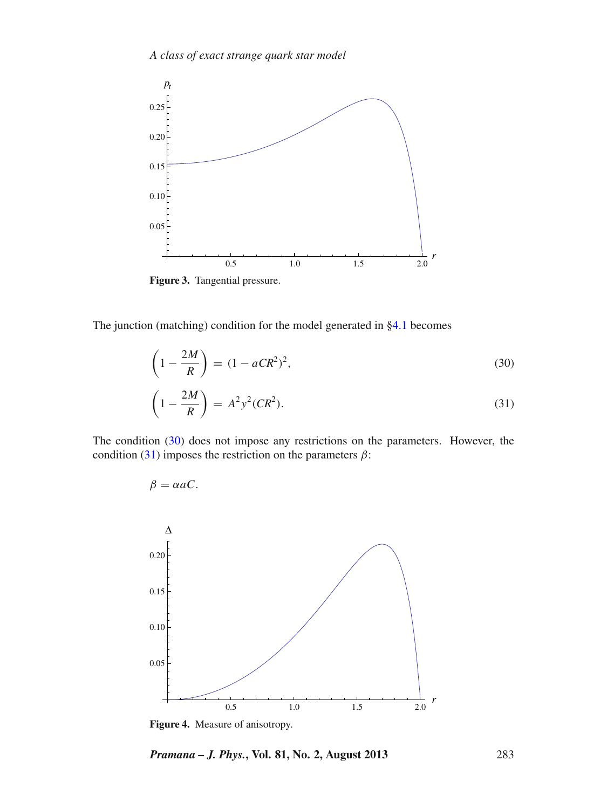<span id="page-8-1"></span>

**Figure 3.** Tangential pressure.

 $\beta = \alpha a C$ .

The junction (matching) condition for the model generated in [§4.1](#page-5-4) becomes

<span id="page-8-2"></span>
$$
\left(1 - \frac{2M}{R}\right) = (1 - aCR^2)^2,\tag{30}
$$

$$
\left(1 - \frac{2M}{R}\right) = A^2 y^2 (CR^2). \tag{31}
$$

The condition [\(30\)](#page-8-2) does not impose any restrictions on the parameters. However, the condition [\(31\)](#page-8-2) imposes the restriction on the parameters  $\beta$ :

<span id="page-8-0"></span>

**Figure 4.** Measure of anisotropy.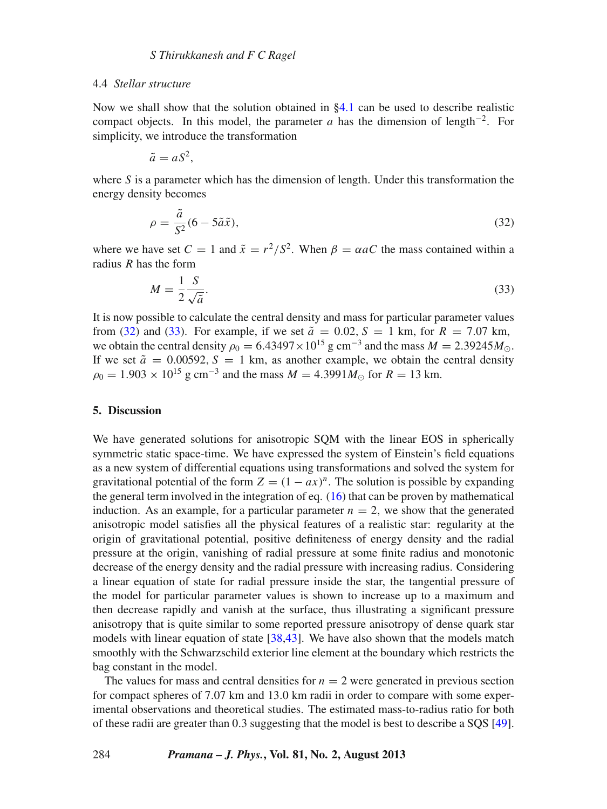#### 4.4 *Stellar structure*

Now we shall show that the solution obtained in [§4.1](#page-5-4) can be used to describe realistic compact objects. In this model, the parameter *a* has the dimension of length<sup>-2</sup>. For simplicity, we introduce the transformation

$$
\tilde{a}=aS^2,
$$

where  $S$  is a parameter which has the dimension of length. Under this transformation the energy density becomes

<span id="page-9-0"></span>
$$
\rho = \frac{\tilde{a}}{S^2} (6 - 5\tilde{a}\tilde{x}),\tag{32}
$$

where we have set  $C = 1$  and  $\tilde{x} = r^2/S^2$ . When  $\beta = \alpha aC$  the mass contained within a radius *R* has the form

<span id="page-9-1"></span>
$$
M = \frac{1}{2} \frac{S}{\sqrt{\tilde{a}}}.
$$
\n(33)

It is now possible to calculate the central density and mass for particular parameter values from [\(32\)](#page-9-0) and [\(33\)](#page-9-1). For example, if we set  $\tilde{a} = 0.02$ ,  $S = 1$  km, for  $R = 7.07$  km, we obtain the central density  $\rho_0 = 6.43497 \times 10^{15}$  g cm<sup>-3</sup> and the mass  $M = 2.39245 M_{\odot}$ . If we set  $\tilde{a} = 0.00592$ ,  $S = 1$  km, as another example, we obtain the central density  $\rho_0 = 1.903 \times 10^{15}$  g cm<sup>-3</sup> and the mass  $M = 4.3991 M_{\odot}$  for  $R = 13$  km.

#### **5. Discussion**

We have generated solutions for anisotropic SQM with the linear EOS in spherically symmetric static space-time. We have expressed the system of Einstein's field equations as a new system of differential equations using transformations and solved the system for gravitational potential of the form  $Z = (1 - ax)^n$ . The solution is possible by expanding the general term involved in the integration of eq.  $(16)$  that can be proven by mathematical induction. As an example, for a particular parameter  $n = 2$ , we show that the generated anisotropic model satisfies all the physical features of a realistic star: regularity at the origin of gravitational potential, positive definiteness of energy density and the radial pressure at the origin, vanishing of radial pressure at some finite radius and monotonic decrease of the energy density and the radial pressure with increasing radius. Considering a linear equation of state for radial pressure inside the star, the tangential pressure of the model for particular parameter values is shown to increase up to a maximum and then decrease rapidly and vanish at the surface, thus illustrating a significant pressure anisotropy that is quite similar to some reported pressure anisotropy of dense quark star models with linear equation of state [\[38](#page-11-34)[,43](#page-11-25)]. We have also shown that the models match smoothly with the Schwarzschild exterior line element at the boundary which restricts the bag constant in the model.

The values for mass and central densities for  $n = 2$  were generated in previous section for compact spheres of 7.07 km and 13.0 km radii in order to compare with some experimental observations and theoretical studies. The estimated mass-to-radius ratio for both of these radii are greater than 0.3 suggesting that the model is best to describe a SQS [\[49](#page-11-35)].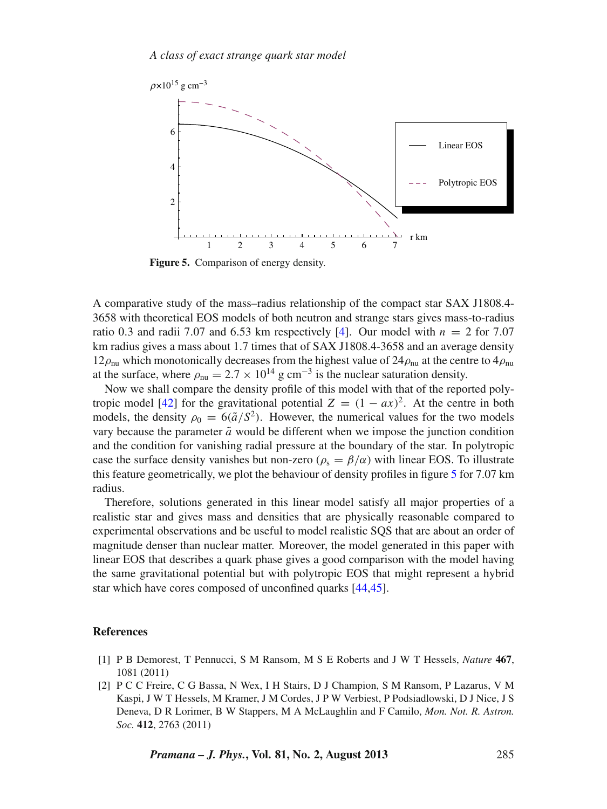<span id="page-10-2"></span>

**Figure 5.** Comparison of energy density.

A comparative study of the mass–radius relationship of the compact star SAX J1808.4- 3658 with theoretical EOS models of both neutron and strange stars gives mass-to-radius ratio 0.3 and radii 7.07 and 6.53 km respectively [\[4](#page-11-36)]. Our model with  $n = 2$  for 7.07 km radius gives a mass about 1.7 times that of SAX J1808.4-3658 and an average density  $12\rho_{\text{nu}}$  which monotonically decreases from the highest value of  $24\rho_{\text{nu}}$  at the centre to  $4\rho_{\text{nu}}$ at the surface, where  $\rho_{\rm nu} = 2.7 \times 10^{14}$  g cm<sup>-3</sup> is the nuclear saturation density.

Now we shall compare the density profile of this model with that of the reported poly-tropic model [\[42](#page-11-28)] for the gravitational potential  $Z = (1 - ax)^2$ . At the centre in both models, the density  $\rho_0 = 6(\tilde{a}/S^2)$ . However, the numerical values for the two models vary because the parameter  $\tilde{a}$  would be different when we impose the junction condition and the condition for vanishing radial pressure at the boundary of the star. In polytropic case the surface density vanishes but non-zero ( $\rho_s = \beta/\alpha$ ) with linear EOS. To illustrate this feature geometrically, we plot the behaviour of density profiles in figure [5](#page-10-2) for 7.07 km radius.

Therefore, solutions generated in this linear model satisfy all major properties of a realistic star and gives mass and densities that are physically reasonable compared to experimental observations and be useful to model realistic SQS that are about an order of magnitude denser than nuclear matter. Moreover, the model generated in this paper with linear EOS that describes a quark phase gives a good comparison with the model having the same gravitational potential but with polytropic EOS that might represent a hybrid star which have cores composed of unconfined quarks [\[44](#page-11-29)[,45](#page-11-30)].

## **References**

- <span id="page-10-0"></span>[1] P B Demorest, T Pennucci, S M Ransom, M S E Roberts and J W T Hessels, *Nature* **467**, 1081 (2011)
- <span id="page-10-1"></span>[2] P C C Freire, C G Bassa, N Wex, I H Stairs, D J Champion, S M Ransom, P Lazarus, V M Kaspi, J W T Hessels, M Kramer, J M Cordes, J P W Verbiest, P Podsiadlowski, D J Nice, J S Deneva, D R Lorimer, B W Stappers, M A McLaughlin and F Camilo, *Mon. Not. R. Astron. Soc.* **412**, 2763 (2011)